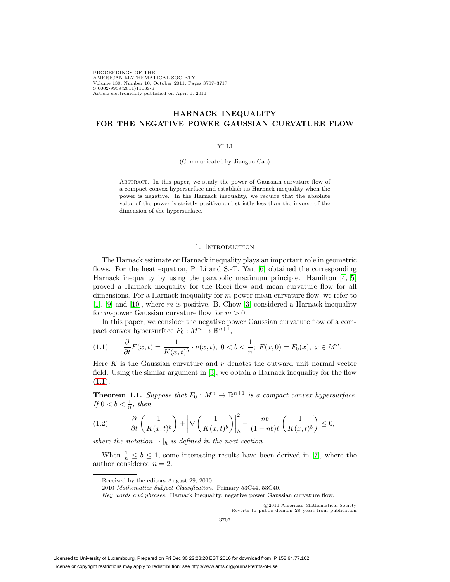PROCEEDINGS OF THE AMERICAN MATHEMATICAL SOCIETY Volume 139, Number 10, October 2011, Pages 3707–3717 S 0002-9939(2011)11039-6 Article electronically published on April 1, 2011

# **HARNACK INEQUALITY FOR THE NEGATIVE POWER GAUSSIAN CURVATURE FLOW**

## YI LI

(Communicated by Jianguo Cao)

Abstract. In this paper, we study the power of Gaussian curvature flow of a compact convex hypersurface and establish its Harnack inequality when the power is negative. In the Harnack inequality, we require that the absolute value of the power is strictly positive and strictly less than the inverse of the dimension of the hypersurface.

## 1. INTRODUCTION

The Harnack estimate or Harnack inequality plays an important role in geometric flows. For the heat equation, P. Li and S.-T. Yau [\[6\]](#page-10-0) obtained the corresponding Harnack inequality by using the parabolic maximum principle. Hamilton [\[4,](#page-10-1) [5\]](#page-10-2) proved a Harnack inequality for the Ricci flow and mean curvature flow for all dimensions. For a Harnack inequality for m-power mean curvature flow, we refer to [\[1\]](#page-10-3), [\[9\]](#page-10-4) and [\[10\]](#page-10-5), where m is positive. B. Chow [\[3\]](#page-10-6) considered a Harnack inequality for *m*-power Gaussian curvature flow for  $m > 0$ .

In this paper, we consider the negative power Gaussian curvature flow of a compact convex hypersurface  $F_0 : M^n \to \mathbb{R}^{n+1}$ ,

<span id="page-0-0"></span>
$$
(1.1) \qquad \frac{\partial}{\partial t}F(x,t) = \frac{1}{K(x,t)^b} \cdot \nu(x,t), \ 0 < b < \frac{1}{n}; \ F(x,0) = F_0(x), \ x \in M^n.
$$

Here K is the Gaussian curvature and  $\nu$  denotes the outward unit normal vector field. Using the similar argument in [\[3\]](#page-10-6), we obtain a Harnack inequality for the flow  $(1.1).$  $(1.1).$ 

<span id="page-0-1"></span>**Theorem 1.1.** Suppose that  $F_0 : M^n \to \mathbb{R}^{n+1}$  is a compact convex hypersurface. If  $0 < b < \frac{1}{n}$ , then

(1.2) 
$$
\frac{\partial}{\partial t} \left( \frac{1}{K(x,t)^b} \right) + \left| \nabla \left( \frac{1}{K(x,t)^b} \right) \right|_h^2 - \frac{nb}{(1-nb)t} \left( \frac{1}{K(x,t)^b} \right) \leq 0,
$$

where the notation  $|\cdot|_h$  is defined in the next section.

When  $\frac{1}{n} \leq b \leq 1$ , some interesting results have been derived in [\[7\]](#page-10-7), where the author considered  $n = 2$ .

-c 2011 American Mathematical Society Reverts to public domain 28 years from publication

Received by the editors August 29, 2010.

<sup>2010</sup> Mathematics Subject Classification. Primary 53C44, 53C40.

Key words and phrases. Harnack inequality, negative power Gaussian curvature flow.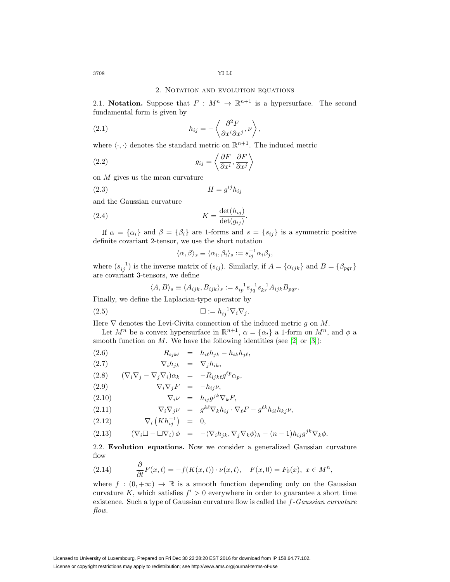#### 2. NOTATION AND EVOLUTION EQUATIONS

2.1. **Notation.** Suppose that  $F : M^n \to \mathbb{R}^{n+1}$  is a hypersurface. The second fundamental form is given by

(2.1) 
$$
h_{ij} = -\left\langle \frac{\partial^2 F}{\partial x^i \partial x^j}, \nu \right\rangle,
$$

where  $\langle \cdot, \cdot \rangle$  denotes the standard metric on  $\mathbb{R}^{n+1}$ . The induced metric

(2.2) 
$$
g_{ij} = \left\langle \frac{\partial F}{\partial x^i}, \frac{\partial F}{\partial x^j} \right\rangle
$$

on M gives us the mean curvature

$$
(2.3) \t\t\t H = g^{ij}h_{ij}
$$

and the Gaussian curvature

<span id="page-1-0"></span>(2.4) 
$$
K = \frac{\det(h_{ij})}{\det(g_{ij})}.
$$

If  $\alpha = {\alpha_i}$  and  $\beta = {\beta_i}$  are 1-forms and  $s = {s_{ij}}$  is a symmetric positive definite covariant 2-tensor, we use the short notation

$$
\langle \alpha, \beta \rangle_s \equiv \langle \alpha_i, \beta_i \rangle_s := s_{ij}^{-1} \alpha_i \beta_j,
$$

where  $(s_{ij}^{-1})$  is the inverse matrix of  $(s_{ij})$ . Similarly, if  $A = \{\alpha_{ijk}\}\$  and  $B = \{\beta_{pqr}\}\$ are covariant 3-tensors, we define

<span id="page-1-1"></span>
$$
\langle A, B \rangle_s \equiv \langle A_{ijk}, B_{ijk} \rangle_s := s_{ip}^{-1} s_{jq}^{-1} s_{kr}^{-1} A_{ijk} B_{pqr}.
$$

Finally, we define the Laplacian-type operator by

$$
(2.5) \t\t \Box := h_{ij}^{-1} \nabla_i \nabla_j.
$$

Here  $\nabla$  denotes the Levi-Civita connection of the induced metric g on M.

Let  $M^n$  be a convex hypersurface in  $\mathbb{R}^{n+1}$ ,  $\alpha = {\alpha_i}$  a 1-form on  $M^n$ , and  $\phi$  a smooth function on  $M$ . We have the following identities (see [\[2\]](#page-10-8) or [\[3\]](#page-10-6)):

,

$$
(2.6) \t\t R_{ijk\ell} = h_{i\ell}h_{jk} - h_{ik}h_{j\ell}
$$

$$
(2.7) \t\t \nabla_i h_{jk} = \nabla_j h_{ik},
$$

$$
(2.8) \qquad (\nabla_i \nabla_j - \nabla_j \nabla_i) \alpha_k = -R_{ijk\ell} g^{\ell p} \alpha_p,
$$

$$
(2.9) \t\t \nabla_i \nabla_j F = -h_{ij} \nu,
$$

$$
(2.10) \t\t \nabla_i \nu = h_{ij} g^{jk} \nabla_k F,
$$

(2.11) 
$$
\nabla_i \nabla_j \nu = g^{k\ell} \nabla_k h_{ij} \cdot \nabla_\ell F - g^{\ell k} h_{i\ell} h_{kj} \nu,
$$

$$
(2.12) \t\t \nabla_i (Kh_{ij}^{-1}) = 0,
$$

(2.13) 
$$
(\nabla_i \Box - \Box \nabla_i) \phi = -\langle \nabla_i h_{jk}, \nabla_j \nabla_k \phi \rangle_h - (n-1) h_{ij} g^{jk} \nabla_k \phi.
$$

2.2. **Evolution equations.** Now we consider a generalized Gaussian curvature flow

(2.14) 
$$
\frac{\partial}{\partial t}F(x,t) = -f(K(x,t)) \cdot \nu(x,t), \quad F(x,0) = F_0(x), \ x \in M^n,
$$

where  $f : (0, +\infty) \to \mathbb{R}$  is a smooth function depending only on the Gaussian curvature K, which satisfies  $f' > 0$  everywhere in order to guarantee a short time existence. Such a type of Gaussian curvature flow is called the f-Gaussian curvature flow.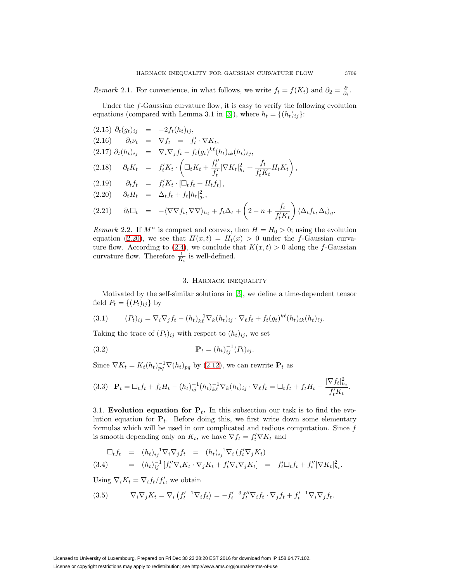Remark 2.1. For convenience, in what follows, we write  $f_t = f(K_t)$  and  $\partial_2 = \frac{\partial}{\partial_t}$ .

Under the  $f$ -Gaussian curvature flow, it is easy to verify the following evolution equations (compared with Lemma 3.1 in [\[3\]](#page-10-6)), where  $h_t = \{(h_t)_{ij}\}:$ 

<span id="page-2-0"></span>(2.15) 
$$
\partial_t (g_t)_{ij} = -2f_t(h_t)_{ij}
$$
,  
\n(2.16)  $\partial_t \nu_t = \nabla f_t = f'_t \cdot \nabla K_t$ ,  
\n(2.17)  $\partial_t (h_t)_{ij} = \nabla_i \nabla_j f_t - f_t (g_t)^{k\ell} (h_t)_{ik} (h_t)_{\ell j}$ ,  
\n(2.18)  $\partial_t K_t = f'_t K_t \cdot \left( \Box_t K_t + \frac{f''_t}{f'_t} |\nabla K_t|_{h_t}^2 + \frac{f_t}{f'_t K_t} H_t K_t \right)$ ,  
\n(2.19)  $\partial_t f_t = f'_t K_t \cdot [\Box_t f_t + H_t f_t]$ ,  
\n(2.20)  $\partial_t H_t = \Delta_t f_t + f_t |h_t|_{g_t}^2$ ,  
\n(2.21)  $\partial_t \Box_t = -\langle \nabla \nabla f_t, \nabla \nabla \rangle_{h_t} + f_t \Delta_t + \left( 2 - n + \frac{f_t}{f'_t K_t} \right) \langle \Delta_t f_t, \Delta_t \rangle_g$ .

Remark 2.2. If  $M^n$  is compact and convex, then  $H = H_0 > 0$ ; using the evolution equation [\(2.20\)](#page-2-0), we see that  $H(x,t) = H_t(x) > 0$  under the f-Gaussian curva-ture flow. According to [\(2.4\)](#page-1-0), we conclude that  $K(x,t) > 0$  along the f-Gaussian curvature flow. Therefore  $\frac{1}{K_t}$  is well-defined.

#### 3. Harnack inequality

Motivated by the self-similar solutions in [\[3\]](#page-10-6), we define a time-dependent tensor field  $P_t = \{(P_t)_{ij}\}\$  by

(3.1) 
$$
(P_t)_{ij} = \nabla_i \nabla_j f_t - (h_t)_{k\ell}^{-1} \nabla_k (h_t)_{ij} \cdot \nabla_\ell f_t + f_t(g_t)^{k\ell} (h_t)_{ik} (h_t)_{\ell j}.
$$

Taking the trace of  $(P_t)_{ij}$  with respect to  $(h_t)_{ij}$ , we set

(3.2) 
$$
\mathbf{P}_t = (h_t)_{ij}^{-1} (P_t)_{ij}.
$$

Since  $\nabla K_t = K_t(h_t)_{pq}^{-1} \nabla(h_t)_{pq}$  by [\(2.12\)](#page-1-1), we can rewrite  $\mathbf{P}_t$  as

$$
(3.3) \quad \mathbf{P}_t = \Box_t f_t + f_t H_t - (h_t)_{ij}^{-1} (h_t)_{k\ell}^{-1} \nabla_k (h_t)_{ij} \cdot \nabla_\ell f_t = \Box_t f_t + f_t H_t - \frac{|\nabla f_t|_{h_t}^2}{f_t' K_t}.
$$

3.1. **Evolution equation for**  $P_t$ **.** In this subsection our task is to find the evolution equation for  $P_t$ . Before doing this, we first write down some elementary formulas which will be used in our complicated and tedious computation. Since  $f$ is smooth depending only on  $K_t$ , we have  $\nabla f_t = f_t' \nabla K_t$  and

$$
\Box_t f_t = (h_t)_{ij}^{-1} \nabla_i \nabla_j f_t = (h_t)_{ij}^{-1} \nabla_i (f_t' \nabla_j K_t)
$$
\n(3.4) 
$$
= (h_t)_{ij}^{-1} [f_t'' \nabla_i K_t \cdot \nabla_j K_t + f_t' \nabla_i \nabla_j K_t] = f_t' \Box_t f_t + f_t'' |\nabla K_t|_{h_t}^2.
$$

Using  $\nabla_i K_t = \nabla_i f_t / f'_t$ , we obtain

(3.5) 
$$
\nabla_i \nabla_j K_t = \nabla_i \left( f_t'^{-1} \nabla_i f_t \right) = -f_t'^{-3} f_t'' \nabla_i f_t \cdot \nabla_j f_t + f_t'^{-1} \nabla_i \nabla_j f_t.
$$

License or copyright restrictions may apply to redistribution; see http://www.ams.org/journal-terms-of-use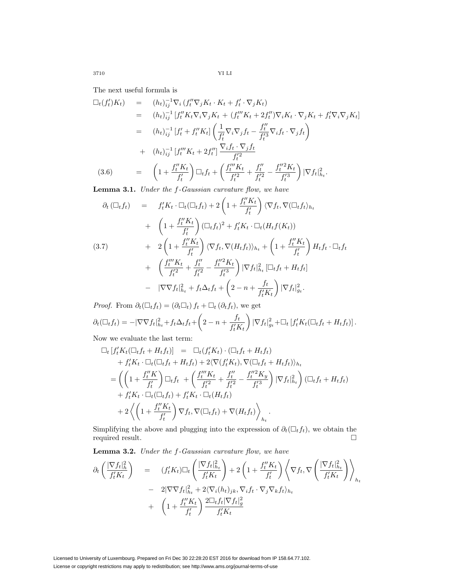The next useful formula is

$$
\Box_{t}(f'_{t})K_{t}) = (h_{t})_{ij}^{-1} \nabla_{i} (f''_{t} \nabla_{j} K_{t} \cdot K_{t} + f'_{t} \cdot \nabla_{j} K_{t})
$$
\n
$$
= (h_{t})_{ij}^{-1} [f''_{t} K_{t} \nabla_{i} \nabla_{j} K_{t} + (f''_{t} K_{t} + 2f''_{t}) \nabla_{i} K_{t} \cdot \nabla_{j} K_{t} + f'_{t} \nabla_{i} \nabla_{j} K_{t}]
$$
\n
$$
= (h_{t})_{ij}^{-1} [f'_{t} + f''_{t} K_{t}] \left( \frac{1}{f'_{t}} \nabla_{i} \nabla_{j} f_{t} - \frac{f''}{f'_{t}^{3}} \nabla_{i} f_{t} \cdot \nabla_{j} f_{t} \right)
$$
\n
$$
+ (h_{t})_{ij}^{-1} [f''_{t} K_{t} + 2f''_{t}] \frac{\nabla_{i} f_{t} \cdot \nabla_{j} f_{t}}{f'_{t}^{2}}
$$
\n(3.6)\n
$$
= \left( 1 + \frac{f''_{t} K_{t}}{f'_{t}} \right) \Box_{t} f_{t} + \left( \frac{f''_{t} K_{t}}{f'_{t}^{2}} + \frac{f''_{t}}{f'_{t}^{2}} - \frac{f''_{t}^{2} K_{t}}{f'_{t}^{3}} \right) |\nabla f_{t}|_{h_{t}}^{2}.
$$
\n**I amm. 2.1** Under the f. Gaussian symmetry theory, the

**Lemma 3.1.** Under the f-Gaussian curvature flow, we have

$$
\partial_t (\Box_t f_t) = f'_t K_t \cdot \Box_t (\Box_t f_t) + 2 \left( 1 + \frac{f''_t K_t}{f'_t} \right) \langle \nabla f_t, \nabla (\Box_t f_t)_{h_t} \n+ \left( 1 + \frac{f''_t K_t}{f'_t} \right) (\Box_t f_t)^2 + f'_t K_t \cdot \Box_t (H_t f(K_t)) \n+ 2 \left( 1 + \frac{f''_t K_t}{f'_t} \right) \langle \nabla f_t, \nabla (H_t f_t) \rangle_{h_t} + \left( 1 + \frac{f''_t K_t}{f'_t} \right) H_t f_t \cdot \Box_t f_t \n+ \left( \frac{f''_t K_t}{f'^2} + \frac{f''_t}{f'^2} - \frac{f''_t^2 K_t}{f'^3} \right) |\nabla f_t|_{h_t}^2 [\Box_t f_t + H_t f_t]
$$

+ 
$$
\left(\frac{J_t - I_t}{f_t'^2} + \frac{J_t}{f_t'^2} - \frac{J_t - I_t}{f_t'^3}\right) |\nabla f_t|_{h_t}^2 [\Box_t f_t + H_t f_t]
$$
  
-  $|\nabla \nabla f_t|_{h_t}^2 + f_t \Delta_t f_t + \left(2 - n + \frac{f_t}{f_t' K_t}\right) |\nabla f_t|_{g_t}^2.$ 

*Proof.* From  $\partial_t(\Box_t f_t) = (\partial_t \Box_t) f_t + \Box_t (\partial_t f_t)$ , we get  $\partial_t (\Box_t f_t) = -|\nabla \nabla f_t|_{h_t}^2 + f_t \Delta_t f_t + \left(2 - n + \frac{f_t}{f_t' K_t}\right)$  $\left( \nabla f_t \right)_{g_t}^2 + \Box_t \left[ f_t' K_t (\Box_t f_t + H_t f_t) \right].$ 

Now we evaluate the last term:

$$
\Box_t \left[ f_t' K_t (\Box_t f_t + H_t f_t) \right] = \Box_t (f_t' K_t) \cdot (\Box_t f_t + H_t f_t)
$$
  
+ 
$$
f_t' K_t \cdot \Box_t (\Box_t f_t + H_t f_t) + 2 \langle \nabla (f_t' K_t), \nabla (\Box_t f_t + H_t f_t) \rangle_{h_t}
$$
  
= 
$$
\left( \left( 1 + \frac{f_t'' K}{f_t'} \right) \Box_t f_t + \left( \frac{f_t''' K_t}{f_t'^2} + \frac{f_t''}{f_t'^2} - \frac{f_t''^2 K_y}{f_t'^3} \right) |\nabla f_t|_{h_t}^2 \right) (\Box_t f_t + H_t f_t)
$$
  
+ 
$$
f_t' K_t \cdot \Box_t (\Box_t f_t) + f_t' K_t \cdot \Box_t (H_t f_t)
$$
  
+ 
$$
2 \left\langle \left( 1 + \frac{f_t'' K_t}{f_t'} \right) \nabla f_t, \nabla (\Box_t f_t) + \nabla (H_t f_t) \right\rangle_{h_t}.
$$

Simplifying the above and plugging into the expression of  $\partial_t(\Box_t f_t)$ , we obtain the required result.  $\Box$ 

Lemma 3.2. Under the  $f$ -Gaussian curvature flow, we have

$$
\partial_t \left( \frac{|\nabla f_t|_h^2}{f'_t K_t} \right) = (f'_t K_t) \Box_t \left( \frac{|\nabla f_t|_{h_t}^2}{f'_t K_t} \right) + 2 \left( 1 + \frac{f''_t K_t}{f'_t} \right) \left\langle \nabla f_t, \nabla \left( \frac{|\nabla f_t|_{h_t}^2}{f'_t K_t} \right) \right\rangle_{h_t}
$$

$$
- 2|\nabla \nabla f_t|_{h_t}^2 + 2 \langle \nabla_i (h_t)_{jk}, \nabla_i f_t \cdot \nabla_j \nabla_k f_t \rangle_{h_t}
$$

$$
+ \left( 1 + \frac{f''_t K_t}{f'_t} \right) \frac{2 \Box_t f_t |\nabla f_t|_g^2}{f'_t K_t}
$$

Licensed to University of Luxembourg. Prepared on Fri Dec 30 22:28:20 EST 2016 for download from IP 158.64.77.102. License or copyright restrictions may apply to redistribution; see http://www.ams.org/journal-terms-of-use

3710 YI LI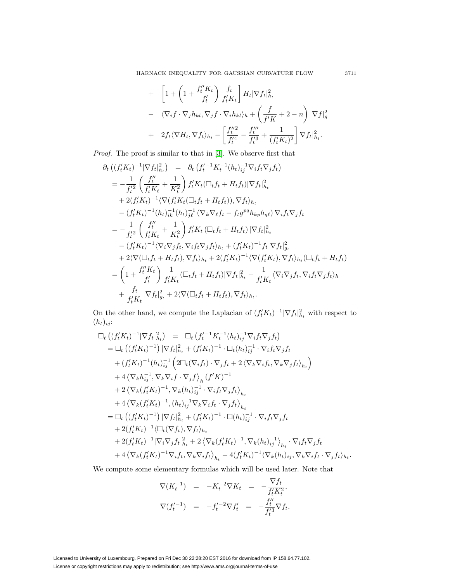HARNACK INEQUALITY FOR GAUSSIAN CURVATURE FLOW 3711

+ 
$$
\left[1 + \left(1 + \frac{f_t''K_t}{f_t'}\right) \frac{f_t}{f_t'K_t}\right] H_t |\nabla f_t|_{h_t}^2
$$
  
\n-  $\langle \nabla_i f \cdot \nabla_j h_{kl}, \nabla_j f \cdot \nabla_i h_{kl} \rangle_h + \left(\frac{f}{f'K} + 2 - n\right) |\nabla f|_g^2$   
\n+  $2f_t \langle \nabla H_t, \nabla f_t \rangle_{h_t} - \left[\frac{f_t''^2}{f_t'^4} - \frac{f_t'''}{f_t'^3} + \frac{1}{(f_t'K_t)^2}\right] \nabla f_t|_{h_t}^2.$ 

Proof. The proof is similar to that in [\[3\]](#page-10-6). We observe first that

$$
\partial_{t} \left( (f_{t}^{I} K_{t})^{-1} |\nabla f_{t}|_{h_{t}}^{2} \right) = \partial_{t} \left( f_{t}^{I-1} K_{t}^{-1} (h_{t})_{ij}^{-1} \nabla_{i} f_{t} \nabla_{j} f_{t} \right) \n= -\frac{1}{f_{t}^{2}} \left( \frac{f_{t}^{II}}{f_{t}^{II} K_{t}} + \frac{1}{K_{t}^{2}} \right) f_{t}^{I} K_{t} (\Box_{t} f_{t} + H_{t} f_{t}) |\nabla f_{t}|_{h_{t}}^{2} \n+ 2(f_{t}^{I} K_{t})^{-1} \langle \nabla (f_{t}^{I} K_{t} (\Box_{t} f_{t} + H_{t} f_{t})), \nabla f_{t} \rangle_{h_{t}} \n- (f_{t}^{I} K_{t})^{-1} (h_{t})_{ik}^{-1} (h_{t})_{j\ell}^{-1} (\nabla_{k} \nabla_{\ell} f_{t} - f_{t} g^{pq} h_{kp} h_{q\ell}) \nabla_{i} f_{t} \nabla_{j} f_{t} \n= -\frac{1}{f_{t}^{2}} \left( \frac{f_{t}^{II}}{f_{t}^{I} K_{t}} + \frac{1}{K_{t}^{2}} \right) f_{t}^{I} K_{t} (\Box_{t} f_{t} + H_{t} f_{t}) |\nabla f_{t}|_{h_{t}}^{2} \n- (f_{t}^{I} K_{t})^{-1} \langle \nabla_{i} \nabla_{j} f_{t}, \nabla_{i} f_{t} \nabla_{j} f_{t} \rangle_{h_{t}} + (f_{t}^{I} K_{t})^{-1} f_{t} |\nabla f_{t}|_{g_{t}}^{2} \n+ 2 \langle \nabla (\Box_{t} f_{t} + H_{t} f_{t}), \nabla f_{t} \rangle_{h_{t}} + 2 (f_{t}^{I} K_{t})^{-1} \langle \nabla (f_{t}^{I} K_{t}), \nabla f_{t} \rangle_{h_{t}} (\Box_{t} f_{t} + H_{t} f_{t}) \n= \left( 1 + \frac{f_{t}^{II} K_{t}}{f_{t}^{I}} \right) \frac{1}{f_{t}^{I} K_{t}}
$$

On the other hand, we compute the Laplacian of  $(f_t' K_t)^{-1} |\nabla f_t|_{h_t}^2$  with respect to  $(h_t)_{ij}$ :

$$
\begin{split}\n\Box_{t} \left( (f_{t}^{I} K_{t})^{-1} |\nabla f_{t}|_{h_{t}}^{2} \right) &= \Box_{t} \left( f_{t}^{I-1} K_{t}^{-1} (h_{t})_{ij}^{-1} \nabla_{i} f_{t} \nabla_{j} f_{t} \right) \\
&= \Box_{t} \left( (f_{t}^{I} K_{t})^{-1} \right) |\nabla f_{t}|_{h_{t}}^{2} + (f_{t}^{I} K_{t})^{-1} \cdot \Box_{t} (h_{t})_{ij}^{-1} \cdot \nabla_{i} f_{t} \nabla_{j} f_{t} \\
&\quad + (f_{t}^{I} K_{t})^{-1} (h_{t})_{ij}^{-1} \left( 2 \Box_{t} (\nabla_{i} f_{t}) \cdot \nabla_{j} f_{t} + 2 \langle \nabla_{k} \nabla_{i} f_{t}, \nabla_{k} \nabla_{j} f_{t} \rangle_{h_{t}} \right) \\
&\quad + 4 \langle \nabla_{k} h_{ij}^{-1}, \nabla_{k} \nabla_{i} f \cdot \nabla_{j} f \rangle_{h} \left( f^{I} K \right)^{-1} \\
&\quad + 2 \langle \nabla_{k} (f_{t}^{I} K_{t})^{-1}, \nabla_{k} (h_{t})_{ij}^{-1} \cdot \nabla_{i} f_{t} \nabla_{j} f_{t} \rangle_{h_{t}} \\
&\quad + 4 \langle \nabla_{k} (f_{t}^{I} K_{t})^{-1}, (h_{t})_{ij}^{-1} \nabla_{k} \nabla_{i} f_{t} \cdot \nabla_{j} f_{t} \rangle_{h_{t}} \\
&\quad + 2 (f_{t}^{I} K_{t})^{-1} |\nabla f_{t}|_{h_{t}}^{2} + (f_{t}^{I} K_{t})^{-1} \cdot \Box (h_{t})_{ij}^{-1} \cdot \nabla_{i} f_{t} \nabla_{j} f_{t} \\
&\quad + 2 (f_{t}^{I} K_{t})^{-1} \langle \Box_{t} (\nabla f_{t}), \nabla f_{t} \rangle_{h_{t}} \\
&\quad + 2 (f_{t}^{I} K_{t})^{-1} |\nabla_{i} \nabla_{j} f_{t}|_{h_{t}}^{2} + 2 \langle \nab
$$

We compute some elementary formulas which will be used later. Note that

$$
\nabla(K_t^{-1}) = -K_t^{-2} \nabla K_t = -\frac{\nabla f_t}{f_t' K_t^2},
$$
  

$$
\nabla(f_t'^{-1}) = -f_t'^{-2} \nabla f_t' = -\frac{f_t''}{f_t'^3} \nabla f_t.
$$

Licensed to University of Luxembourg. Prepared on Fri Dec 30 22:28:20 EST 2016 for download from IP 158.64.77.102. License or copyright restrictions may apply to redistribution; see http://www.ams.org/journal-terms-of-use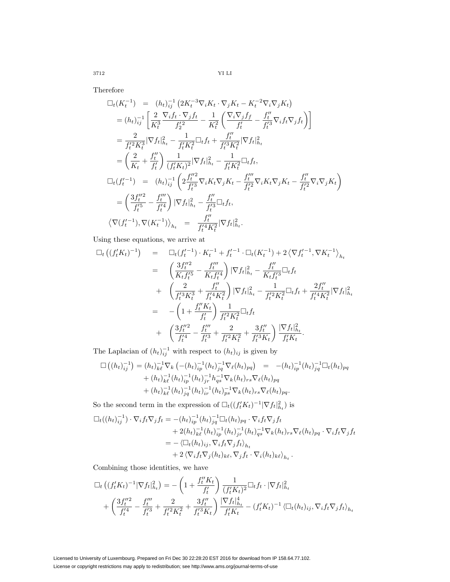$3712$   $\,$  YI LI  $\,$ 

Therefore

$$
\Box_{t}(K_{t}^{-1}) = (h_{t})_{ij}^{-1} \left( 2K_{t}^{-3} \nabla_{i} K_{t} \cdot \nabla_{j} K_{t} - K_{t}^{-2} \nabla_{i} \nabla_{j} K_{t} \right)
$$
\n
$$
= (h_{t})_{ij}^{-1} \left[ \frac{2}{K_{t}^{3}} \frac{\nabla_{i} f_{t} \cdot \nabla_{j} f_{t}}{f_{2}^{2}} - \frac{1}{K_{t}^{2}} \left( \frac{\nabla_{i} \nabla_{j} f_{f}}{f_{t}^{2}} - \frac{f_{t}^{\'{\prime}}}{f_{t}^{2}} \nabla_{i} f_{t} \nabla_{j} f_{t} \right) \right]
$$
\n
$$
= \frac{2}{f_{t}^{2} K_{t}^{3}} |\nabla f_{t}|_{h_{t}}^{2} - \frac{1}{f_{t}^{\'{\prime}} K_{t}^{2}} \Box_{t} f_{t} + \frac{f_{t}^{\'{\prime}}}{f_{t}^{3} K_{t}^{2}} |\nabla f_{t}|_{h_{t}}^{2}
$$
\n
$$
= \left( \frac{2}{K_{t}} + \frac{f_{t}^{\prime \prime}}{f_{t}^{\prime}} \right) \frac{1}{(f_{t}^{\'{\prime}} K_{t})^{2}} |\nabla f_{t}|_{h_{t}}^{2} - \frac{1}{f_{t}^{\'{\prime}} K_{t}^{2}} \Box_{t} f_{t},
$$
\n
$$
\Box_{t}(f_{t}^{\prime - 1}) = (h_{t})_{ij}^{-1} \left( 2 \frac{f_{t}^{\prime \prime 2}}{f_{t}^{3}} \nabla_{i} K_{t} \nabla_{j} K_{t} - \frac{f_{t}^{\prime \prime}}{f_{t}^{2}} \nabla_{i} K_{t} \nabla_{j} K_{t} - \frac{f_{t}^{\prime \prime}}{f_{t}^{2}} \nabla_{i} \nabla_{j} K_{t} \right)
$$
\n
$$
= \left( \frac{3f_{t}^{\prime \prime 2}}{f_{t}^{\prime 5}} - \frac{f_{t}^{\prime \prime}}{f_{t}^{\prime 4}} \right) |\nabla f_{t}|_{h_{t}}^{2} - \frac{f_{t}^{\prime \prime
$$

Using these equations, we arrive at

$$
\Box_t ((f_t' K_t)^{-1}) = \Box_t (f_t'^{-1}) \cdot K_t^{-1} + f_t'^{-1} \cdot \Box_t (K_t^{-1}) + 2 \langle \nabla f_t'^{-1}, \nabla K_t^{-1} \rangle_{h_t}
$$
\n
$$
= \left( \frac{3f_t''^2}{K_t f_t'^5} - \frac{f_t''}{K_t f_t'^4} \right) |\nabla f_t|_{h_t}^2 - \frac{f_t''}{K_t f_t'^3} \Box_t f_t
$$
\n
$$
+ \left( \frac{2}{f_t'^3 K_t^3} + \frac{f_t''}{f_t'^4 K_t^2} \right) |\nabla f_t|_{h_t}^2 - \frac{1}{f_t'^2 K_t^2} \Box_t f_t + \frac{2f_t''}{f_t'^4 K_t^2} |\nabla f_t|_{h_t}^2
$$
\n
$$
= -\left( 1 + \frac{f_t'' K_t}{f_t'} \right) \frac{1}{f_t'^2 K_t^2} \Box_t f_t
$$
\n
$$
+ \left( \frac{3f_t''^2}{f_t'^4} - \frac{f_t'''}{f_t'^3} + \frac{2}{f_t'^2 K_t^2} + \frac{3f_t''}{f_t'^3 K_t} \right) \frac{|\nabla f_t|_{h_t}^2}{f_t' K_t}.
$$

The Laplacian of  $(h_t)_{ij}^{-1}$  with respect to  $(h_t)_{ij}$  is given by

$$
\Box \left( (h_t)_{ij}^{-1} \right) = (h_t)_{k\ell}^{-1} \nabla_k \left( -(h_t)_{ip}^{-1} (h_t)_{jq}^{-1} \nabla_\ell (h_t)_{pq} \right) = -(h_t)_{ip}^{-1} (h_t)_{jq}^{-1} \Box_t (h_t)_{pq}
$$
  
+ 
$$
(h_t)_{k\ell}^{-1} (h_t)_{ip}^{-1} (h_t)_{jr}^{-1} h_{qs}^{-1} \nabla_k (h_t)_{rs} \nabla_\ell (h_t)_{pq}
$$
  
+ 
$$
(h_t)_{k\ell}^{-1} (h_t)_{jq}^{-1} (h_t)_{ir}^{-1} (h_t)_{ps}^{-1} \nabla_k (h_t)_{rs} \nabla_\ell (h_t)_{pq}.
$$

So the second term in the expression of  $\Box_t((f_t^t K_t)^{-1}|\nabla f_t|_{h_t}^2)$  is

$$
\Box_t((h_t)_{ij}^{-1}) \cdot \nabla_i f_t \nabla_j f_t = -(h_t)_{ip}^{-1} (h_t)_{jq}^{-1} \Box_t (h_t)_{pq} \cdot \nabla_i f_t \nabla_j f_t \n+ 2(h_t)_{k\ell}^{-1} (h_t)_{ip}^{-1} (h_t)_{jr}^{-1} (\partial_t)_{qs}^{-1} \nabla_k (h_t)_{rs} \nabla_\ell (h_t)_{pq} \cdot \nabla_i f_t \nabla_j f_t \n= - \langle \Box_t (h_t)_{ij}, \nabla_i f_t \nabla_j f_t \rangle_{h_t} \n+ 2 \langle \nabla_i f_t \nabla_j (h_t)_{k\ell}, \nabla_j f_t \cdot \nabla_i (h_t)_{k\ell} \rangle_{h_t}.
$$

Combining those identities, we have

$$
\Box_t ((f_t^t K_t)^{-1} |\nabla f_t|_{h_t}^2) = -\left(1 + \frac{f_t^t K_t}{f_t^t}\right) \frac{1}{(f_t^t K_t)^2} \Box_t f_t \cdot |\nabla f_t|_{h_t}^2
$$

$$
+ \left(\frac{3f_t^{\prime\prime 2}}{f_t^{\prime 4}} - \frac{f_t^{\prime\prime\prime}}{f_t^{\prime 3}} + \frac{2}{f_t^{\prime 2} K_t^2} + \frac{3f_t^{\prime\prime}}{f_t^{\prime 3} K_t}\right) \frac{|\nabla f_t|_{h_t}^4}{f_t^{\prime K_t}} - (f_t^t K_t)^{-1} \langle \Box_t (h_t)_{ij}, \nabla_i f_t \nabla_j f_t \rangle_{h_t}
$$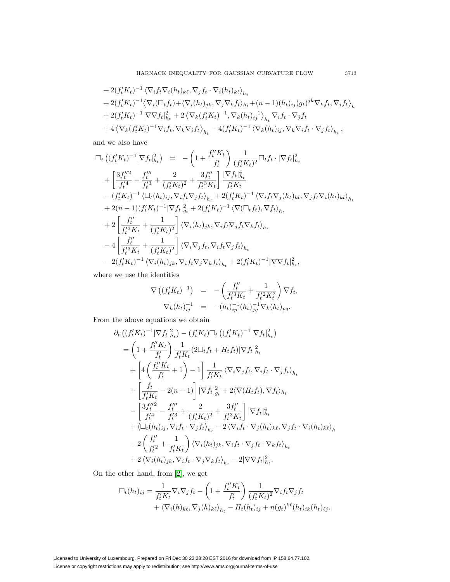+ 
$$
2(f_t'K_t)^{-1} \langle \nabla_i f_t \nabla_i (h_t)_{k\ell}, \nabla_j f_t \cdot \nabla_i (h_t)_{k\ell} \rangle_{h_t}
$$
  
+  $2(f_t'K_t)^{-1} \langle \nabla_i (\Box_t f_t) + \langle \nabla_i (h_t)_{jk}, \nabla_j \nabla_k f_t \rangle_{h_t} + (n-1)(h_t)_{ij} (g_t)^{jk} \nabla_k f_t, \nabla_i f_t \rangle_h$   
+  $2(f_t'K_t)^{-1} |\nabla \nabla f_t|_{h_t}^2 + 2 \langle \nabla_k (f_t'K_t)^{-1}, \nabla_k (h_t)_{ij}^{-1} \rangle_{h_t} \nabla_i f_t \cdot \nabla_j f_t$   
+  $4 \langle \nabla_k (f_t'K_t)^{-1} \nabla_i f_t, \nabla_k \nabla_i f_t \rangle_{h_t} - 4(f_t'K_t)^{-1} \langle \nabla_k (h_t)_{ij}, \nabla_k \nabla_i f_t \cdot \nabla_j f_t \rangle_{h_t},$ 

and we also have

$$
\Box_{t} ((f'_{t}K_{t})^{-1}|\nabla f_{t}|_{h_{t}}^{2}) = -\left(1 + \frac{f''_{t}K_{t}}{f'_{t}}\right) \frac{1}{(f'_{t}K_{t})^{2}} \Box_{t}f_{t} \cdot |\nabla f_{t}|_{h_{t}}^{2} \n+ \left[ \frac{3f''_{t}^{2}}{f'^{4}} - \frac{f''_{t}}{f'^{3}} + \frac{2}{(f'_{t}K_{t})^{2}} + \frac{3f''_{t}}{f'^{3}K_{t}} \right] \frac{|\nabla f_{t}|_{h_{t}}^{4}}{f'_{t}K_{t}} \n- (f'_{t}K_{t})^{-1} \langle \Box_{t}(h_{t})_{ij}, \nabla_{i}f_{t} \nabla_{j}f_{t} \rangle_{h_{t}} + 2(f'_{t}K_{t})^{-1} \langle \nabla_{i}f_{t} \nabla_{j}(h_{t})_{kl}, \nabla_{j}f_{t} \nabla_{i}(h_{t})_{kl} \rangle_{h_{t}} \n+ 2(n-1)(f'_{t}K_{t})^{-1} |\nabla f_{t}|_{g_{t}}^{2} + 2(f'_{t}K_{t})^{-1} \langle \nabla (\Box_{t}f_{t}), \nabla f_{t} \rangle_{h_{t}} \n+ 2 \left[ \frac{f''_{t}}{f'^{3}_{t}K_{t}} + \frac{1}{(f'_{t}K_{t})^{2}} \right] \langle \nabla_{i}(h_{t})_{jk}, \nabla_{i}f_{t} \nabla_{j}f_{t} \nabla_{k}f_{t} \rangle_{h_{t}} \n- 4 \left[ \frac{f''_{t}}{f'^{3}_{t}K_{t}} + \frac{1}{(f'_{t}K_{t})^{2}} \right] \langle \nabla_{i} \nabla_{j}f_{t}, \nabla_{i}f_{t} \nabla_{j}f_{t} \rangle_{h_{t}} \n- 2(f'_{t}K_{t})^{-1} \langle \nabla_{i}(h_{t})_{jk}, \nabla_{i}f_{t} \nabla_{j}f_{k} \rangle_{h_{t}} + 2(f'_{t}K_{t})^{-1} |\nabla \nabla f_{t}|_{h_{t}}^{2},
$$

where we use the identities

$$
\nabla \left( (f_t' K_t)^{-1} \right) = - \left( \frac{f_t''}{f_t'^2 K_t} + \frac{1}{f_t'^2 K_t^2} \right) \nabla f_t,
$$
  

$$
\nabla_k (h_t)_{ij}^{-1} = - (h_t)_{ip}^{-1} (h_t)_{jq}^{-1} \nabla_k (h_t)_{pq}.
$$

From the above equations we obtain

$$
\partial_{t} \left( (f_{t}^{I} K_{t})^{-1} |\nabla f_{t}|_{h_{t}}^{2} \right) - (f_{t}^{I} K_{t}) \Box_{t} \left( (f_{t}^{I} K_{t})^{-1} |\nabla f_{t}|_{h_{t}}^{2} \right) \n= \left( 1 + \frac{f_{t}^{II} K_{t}}{f_{t}^{I}} \right) \frac{1}{f_{t}^{I} K_{t}} (2 \Box_{t} f_{t} + H_{t} f_{t}) |\nabla f_{t}|_{h_{t}}^{2} \n+ \left[ 4 \left( \frac{f_{t}^{II} K_{t}}{f_{t}^{I}} + 1 \right) - 1 \right] \frac{1}{f_{t}^{I} K_{t}} \langle \nabla_{i} \nabla_{j} f_{t}, \nabla_{i} f_{t} \cdot \nabla_{j} f_{t} \rangle_{h_{t}} \n+ \left[ \frac{f_{t}}{f_{t}^{I} K_{t}} - 2(n - 1) \right] |\nabla f_{t}|_{g_{t}}^{2} + 2 \langle \nabla (H_{t} f_{t}), \nabla f_{t} \rangle_{h_{t}} \n- \left[ \frac{3 f_{t}^{II}}{f_{t}^{II}} - \frac{f_{t}^{III}}{f_{t}^{II}} + \frac{2}{(f_{t}^{I} K_{t})^{2}} + \frac{3 f_{t}^{III}}{f_{t}^{II} K_{t}} \right] |\nabla f_{t}|_{h_{t}}^{4} \n+ \langle \Box_{t} (h_{t})_{ij}, \nabla_{i} f_{t} \cdot \nabla_{j} f_{t} \rangle_{h_{t}} - 2 \langle \nabla_{i} f_{t} \cdot \nabla_{j} (h_{t})_{k} \in \nabla_{j} f_{t} \cdot \nabla_{i} (h_{t})_{k} \in \rangle_{h_{t}} \n- 2 \left( \frac{f_{t}^{II}}{f_{t}^{II}} + \frac{1}{f_{t}^{II} K_{t}} \right) \langle \nabla_{i} (h_{t})_{jk}, \nabla_{i} f_{t} \cdot \nabla_{j} f_{t} \cdot \nabla_{k} f_{t} \rangle_{h_{t}} \n+ 2 \langle \nabla_{i} (h_{t})_{jk}, \nabla_{i} f
$$

On the other hand, from [\[2\]](#page-10-8), we get

$$
\Box_t(h_t)_{ij} = \frac{1}{f'_t K_t} \nabla_i \nabla_j f_t - \left(1 + \frac{f''_t K_t}{f'_t}\right) \frac{1}{(f'_t K_t)^2} \nabla_i f_t \nabla_j f_t
$$
  
+  $\langle \nabla_i(h)_{k\ell}, \nabla_j(h)_{k\ell} \rangle_{h_t} - H_t(h_t)_{ij} + n(g_t)^{k\ell}(h_t)_{ik}(h_t)_{\ell j}.$ 

Licensed to University of Luxembourg. Prepared on Fri Dec 30 22:28:20 EST 2016 for download from IP 158.64.77.102. License or copyright restrictions may apply to redistribution; see http://www.ams.org/journal-terms-of-use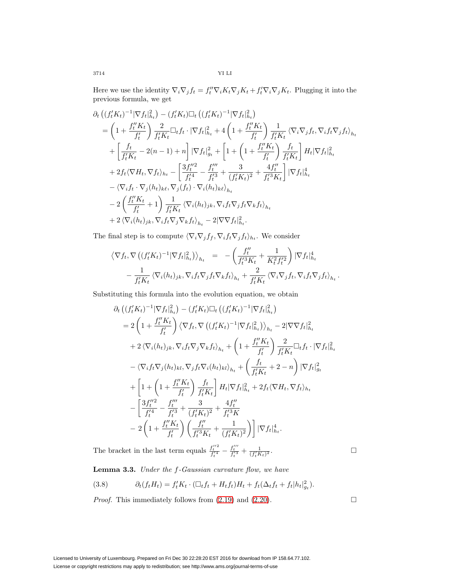Here we use the identity  $\nabla_i \nabla_j f_t = f''_t \nabla_i K_t \nabla_j K_t + f'_t \nabla_i \nabla_j K_t$ . Plugging it into the previous formula, we get

$$
\partial_{t} \left( (f_{t}^{I} K_{t})^{-1} |\nabla f_{t}|_{h_{t}}^{2} \right) - (f_{t}^{I} K_{t}) \Box_{t} \left( (f_{t}^{I} K_{t})^{-1} |\nabla f_{t}|_{h_{t}}^{2} \right) \n= \left( 1 + \frac{f_{t}^{II} K_{t}}{f_{t}^{I}} \right) \frac{2}{f_{t}^{I} K_{t}} \Box_{t} f_{t} \cdot |\nabla f_{t}|_{h_{t}}^{2} + 4 \left( 1 + \frac{f_{t}^{II} K_{t}}{f_{t}^{I}} \right) \frac{1}{f_{t}^{I} K_{t}} \left\langle \nabla_{i} \nabla_{j} f_{t}, \nabla_{i} f_{t} \nabla_{j} f_{t} \right\rangle_{h_{t}} \n+ \left[ \frac{f_{t}}{f_{t}^{I} K_{t}} - 2(n - 1) + n \right] |\nabla f_{t}|_{g_{t}}^{2} + \left[ 1 + \left( 1 + \frac{f_{t}^{II} K_{t}}{f_{t}^{I}} \right) \frac{f_{t}}{f_{t}^{I} K_{t}} \right] H_{t} |\nabla f_{t}|_{h_{t}}^{2} \n+ 2 f_{t} \left\langle \nabla H_{t}, \nabla f_{t} \right\rangle_{h_{t}} - \left[ \frac{3 f_{t}^{II2}}{f_{t}^{I2}} - \frac{f_{t}^{III}}{f_{t}^{I3}} + \frac{3}{(f_{t}^{I} K_{t})^{2}} + \frac{4 f_{t}^{III}}{f_{t}^{I3} K_{t}} \right] |\nabla f_{t}|_{h_{t}}^{4} \n- \left\langle \nabla_{i} f_{t} \cdot \nabla_{j} (h_{t})_{k\ell}, \nabla_{j} (f_{t}) \cdot \nabla_{i} (h_{t})_{k\ell} \right\rangle_{h_{t}} \n- 2 \left( \frac{f_{t}^{II} K_{t}}{f_{t}^{I}} + 1 \right) \frac{1}{f_{t}^{I} K_{t}} \left\langle \nabla_{i} (h_{t})_{j k}, \nabla_{i} f_{t} \nabla_{j} f_{t} \nabla_{k} f_{t} \right\rangle_{h_{t}}
$$

The final step is to compute  $\langle \nabla_i \nabla_j f_f, \nabla_i f_t \nabla_j f_t \rangle_{h_t}$  . We consider

$$
\langle \nabla f_t, \nabla \left( (f_t' K_t)^{-1} |\nabla f_t|^2_{h_t} \right) \rangle_{h_t} = -\left( \frac{f_t''}{f_t'^3 K_t} + \frac{1}{K_t^2 f_t'^2} \right) |\nabla f_t|^4_{h_t} - \frac{1}{f_t' K_t} \langle \nabla_i (h_t)_{jk}, \nabla_i f_t \nabla_j f_t \nabla_k f_t \rangle_{h_t} + \frac{2}{f_t' K_t} \langle \nabla_i \nabla_j f_t, \nabla_i f_t \nabla_j f_t \rangle_{h_t}.
$$

Substituting this formula into the evolution equation, we obtain

$$
\partial_{t} \left( (f_{t}^{'} K_{t})^{-1} |\nabla f_{t}|_{h_{t}}^{2} \right) - (f_{t}^{'} K_{t}) \Box_{t} \left( (f_{t}^{'} K_{t})^{-1} |\nabla f_{t}|_{h_{t}}^{2} \right) \n= 2 \left( 1 + \frac{f_{t}^{''} K_{t}}{f_{t}^{'} } \right) \langle \nabla f_{t}, \nabla \left( (f_{t}^{'} K_{t})^{-1} |\nabla f_{t}|_{h_{t}}^{2} \right) \rangle_{h_{t}} - 2 |\nabla \nabla f_{t}|_{h_{t}}^{2} \n+ 2 \langle \nabla_{i} (h_{t})_{jk}, \nabla_{i} f_{t} \nabla_{j} \nabla_{k} f_{t} \rangle_{h_{t}} + \left( 1 + \frac{f_{t}^{''} K_{t}}{f_{t}^{'} } \right) \frac{2}{f_{t}^{'} K_{t}} \Box_{t} f_{t} \cdot |\nabla f_{t}|_{h_{t}}^{2} \n- \langle \nabla_{i} f_{t} \nabla_{j} (h_{t})_{kl}, \nabla_{j} f_{t} \nabla_{i} (h_{t})_{kl} \rangle_{h_{t}} + \left( \frac{f_{t}}{f_{t}^{'} K_{t}} + 2 - n \right) |\nabla f_{t}|_{g_{t}}^{2} \n+ \left[ 1 + \left( 1 + \frac{f_{t}^{''} K_{t}}{f_{t}^{'} } \right) \frac{f_{t}}{f_{t}^{'} K_{t}} \right] H_{t} |\nabla f_{t}|_{h_{t}}^{2} + 2 f_{t} \langle \nabla H_{t}, \nabla f_{t} \rangle_{h_{t}} \n- \left[ \frac{3 f_{t}^{''2}}{f_{t}^{''2}} - \frac{f_{t}^{''}}{f_{t}^{''3}} + \frac{3}{(f_{t}^{'} K_{t})^{2}} + \frac{4 f_{t}^{''}}{f_{t}^{''3} K} \n- 2 \left( 1 + \frac{f_{t}^{''} K_{t}}{f_{t}^{'} } \right) \left( \frac{f_{t}^{''}}{f_{t}^{''} K_{t}} + \frac{1}{(f_{t}^{'} K_{t})^{2}} \right) \right) |\nabla f_{
$$

The bracket in the last term equals  $\frac{f_t''^2}{f_t'^4} - \frac{f_t'''}{f_t'^3} + \frac{1}{(f_t' K_t)^2}$ .  $\Box$ 

Lemma 3.3. Under the f-Gaussian curvature flow, we have

(3.8) 
$$
\partial_t(f_t H_t) = f_t' K_t \cdot (\Box_t f_t + H_t f_t) H_t + f_t (\Delta_t f_t + f_t |h_t|_{g_t}^2).
$$

*Proof.* This immediately follows from  $(2.19)$  and  $(2.20)$ .

Licensed to University of Luxembourg. Prepared on Fri Dec 30 22:28:20 EST 2016 for download from IP 158.64.77.102. License or copyright restrictions may apply to redistribution; see http://www.ams.org/journal-terms-of-use

 $\Box$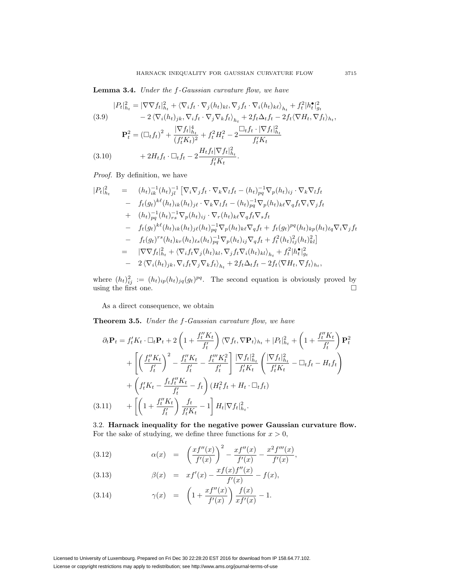Lemma 3.4. Under the f-Gaussian curvature flow, we have

(3.9)  
\n
$$
|P_t|_{h_t}^2 = |\nabla \nabla f_t|_{h_t}^2 + \langle \nabla_i f_t \cdot \nabla_j (h_t)_{kl}, \nabla_j f_t \cdot \nabla_i (h_t)_{k\ell} \rangle_{h_t} + f_t^2 |h_t^{\bullet}|_{g_t}^2
$$
\n
$$
- 2 \langle \nabla_i (h_t)_{jk}, \nabla_i f_t \cdot \nabla_j \nabla_k f_t \rangle_{h_t} + 2 f_t \Delta_t f_t - 2 f_t \langle \nabla H_t, \nabla f_t \rangle_{h_t},
$$
\n
$$
\mathbf{P}_t^2 = (\Box_t f_t)^2 + \frac{|\nabla f_t|_{h_t}^4}{(f_t' K_t)^2} + f_t^2 H_t^2 - 2 \frac{\Box_t f_t \cdot |\nabla f_t|_{h_t}^2}{f_t' K_t}
$$
\n(3.10)  
\n
$$
+ 2 H_t f_t \cdot \Box_t f_t - 2 \frac{H_t f_t |\nabla f_t|_{h_t}^2}{f_t' K_t}.
$$

Proof. By definition, we have

$$
|P_t|_{h_t}^2 = (h_t)_{ik}^{-1} (h_t)_{jl}^{-1} \left[ \nabla_i \nabla_j f_t \cdot \nabla_k \nabla_l f_t - (h_t)_{pq}^{-1} \nabla_p (h_t)_{ij} \cdot \nabla_k \nabla_l f_t \right. \\ \left. - f_t(g_t)^{k\ell} (h_t)_{ik} (h_t)_{jk} \cdot \nabla_k \nabla_l f_t - (h_t)_{pq}^{-1} \nabla_p (h_t)_{k\ell} \nabla_q f_t \nabla_i \nabla_j f_t \right. \\ \left. + (h_t)_{pq}^{-1} (h_t)_{rs}^{-1} \nabla_p (h_t)_{ij} \cdot \nabla_r (h_t)_{k\ell} \nabla_q f_t \nabla_s f_t \right. \\ \left. - f_t(g_t)^{k\ell} (h_t)_{ik} (h_t)_{j\ell} (h_t)_{pq}^{-1} \nabla_p (h_t)_{k\ell} \nabla_q f_t + f_t(g_t)^{pq} (h_t)_{kp} (h_t)_{\ell q} \nabla_i \nabla_j f_t \right. \\ \left. - f_t(g_t)^{rs} (h_t)_{kr} (h_t)_{\ell s} (h_t)_{pq}^{-1} \nabla_p (h_t)_{ij} \nabla_q f_t + f_t^2 (h_t)_{ij}^2 (h_t)_{kl}^2 \right] \\ \left. = \left. \nabla \nabla f_t \right|_{h_t}^2 + \left\langle \nabla_i f_t \nabla_j (h_t)_{kl}, \nabla_j f_t \nabla_i (h_t)_{kl} \right\rangle_{h_t} + f_t^2 |h_t^2|_{g_t}^2 \right. \\ \left. - 2 \left\langle \nabla_i (h_t)_{jk}, \nabla_i f_t \nabla_j \nabla_k f_t \right\rangle_{h_t} + 2 f_t \Delta_t f_t - 2 f_t \left\langle \nabla H_t, \nabla f_t \right\rangle_{h_t},
$$

where  $(h_t)_{ij}^2 := (h_t)_{ip}(h_t)_{jq}(g_t)^{pq}$ . The second equation is obviously proved by using the first one.  $\Box$ 

As a direct consequence, we obtain

**Theorem 3.5.** Under the f-Gaussian curvature flow, we have

$$
\partial_t \mathbf{P}_t = f'_t K_t \cdot \Box_t \mathbf{P}_t + 2 \left( 1 + \frac{f''_t K_t}{f'_t} \right) \langle \nabla f_t, \nabla \mathbf{P}_t \rangle_{h_t} + |P_t|_{h_t}^2 + \left( 1 + \frac{f''_t K_t}{f'_t} \right) \mathbf{P}_t^2
$$

$$
+ \left[ \left( \frac{f''_t K_t}{f'_t} \right)^2 - \frac{f''_t K_t}{f'_t} - \frac{f''_t K_t^2}{f'_t} \right] \frac{|\nabla f_t|_{h_t}^2}{f'_t K_t} \left( \frac{|\nabla f_t|_{h_t}^2}{f'_t K_t} - \Box_t f_t - H_t f_t \right)
$$

$$
+ \left( f'_t K_t - \frac{f_t f''_t K_t}{f'_t} - f_t \right) (H_t^2 f_t + H_t \cdot \Box_t f_t)
$$

$$
(3.11) \qquad + \left[ \left( 1 + \frac{f''_t K_t}{f'_t} \right) \frac{f_t}{f'_t K_t} - 1 \right] H_t |\nabla f_t|_{h_t}^2.
$$

3.2. **Harnack inequality for the negative power Gaussian curvature flow.** For the sake of studying, we define three functions for  $x > 0$ ,

(3.12) 
$$
\alpha(x) = \left(\frac{xf''(x)}{f'(x)}\right)^2 - \frac{xf''(x)}{f'(x)} - \frac{x^2f'''(x)}{f'(x)},
$$

(3.13) 
$$
\beta(x) = x f'(x) - \frac{x f(x) f''(x)}{f'(x)} - f(x),
$$

(3.14) 
$$
\gamma(x) = \left(1 + \frac{x f''(x)}{f'(x)}\right) \frac{f(x)}{x f'(x)} - 1.
$$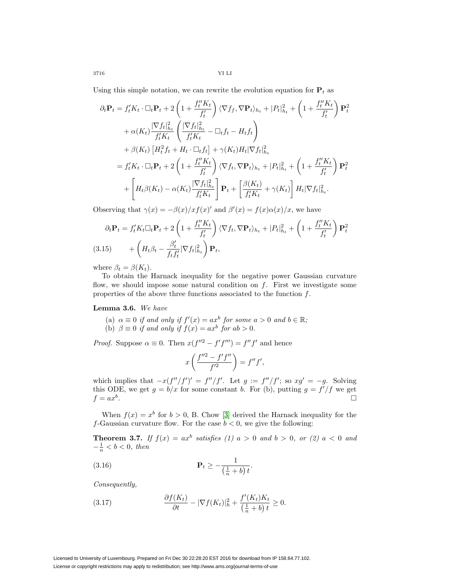3716 YI LI

Using this simple notation, we can rewrite the evolution equation for  $P_t$  as

$$
\partial_t \mathbf{P}_t = f'_t K_t \cdot \Box_t \mathbf{P}_t + 2 \left( 1 + \frac{f''_t K_t}{f'_t} \right) \langle \nabla f_f, \nabla \mathbf{P}_t \rangle_{h_t} + |P_t|_{h_t}^2 + \left( 1 + \frac{f''_t K_t}{f'_t} \right) \mathbf{P}_t^2
$$
  
+  $\alpha(K_t) \frac{|\nabla f_t|_{h_t}^2}{f'_t K_t} \left( \frac{|\nabla f_t|_{h_t}^2}{f'_t K_t} - \Box_t f_t - H_t f_t \right)$   
+  $\beta(K_t) \left[ H_t^2 f_t + H_t \cdot \Box_t f_t \right] + \gamma(K_t) H_t |\nabla f_t|_{h_t}^2$   
=  $f'_t K_t \cdot \Box_t \mathbf{P}_t + 2 \left( 1 + \frac{f''_t K_t}{f'_t} \right) \langle \nabla f_t, \nabla \mathbf{P}_t \rangle_{h_t} + |P_t|_{h_t}^2 + \left( 1 + \frac{f''_t K_t}{f'_t} \right) \mathbf{P}_t^2$   
+  $\left[ H_t \beta(K_t) - \alpha(K_t) \frac{|\nabla f_t|_{h_t}^2}{f'_t K_t} \right] \mathbf{P}_t + \left[ \frac{\beta(K_t)}{f'_t K_t} + \gamma(K_t) \right] H_t |\nabla f_t|_{h_t}^2.$ 

Observing that  $\gamma(x) = -\beta(x)/xf(x)$  and  $\beta'(x) = f(x)\alpha(x)/x$ , we have

$$
\partial_t \mathbf{P}_t = f'_t K_t \Box_t \mathbf{P}_t + 2 \left( 1 + \frac{f''_t K_t}{f'_t} \right) \langle \nabla f_t, \nabla \mathbf{P}_t \rangle_{h_t} + |P_t|_{h_t}^2 + \left( 1 + \frac{f''_t K_t}{f'_t} \right) \mathbf{P}_t^2
$$
\n(3.15) 
$$
+ \left( H_t \beta_t - \frac{\beta'_t}{f_t f'_t} |\nabla f_t|_{h_t}^2 \right) \mathbf{P}_t,
$$

where  $\beta_t = \beta(K_t)$ .

To obtain the Harnack inequality for the negative power Gaussian curvature flow, we should impose some natural condition on f. First we investigate some properties of the above three functions associated to the function f.

## **Lemma 3.6.** We have

(a)  $\alpha \equiv 0$  if and only if  $f'(x) = ax^b$  for some  $a > 0$  and  $b \in \mathbb{R}$ ; (b)  $\beta \equiv 0$  if and only if  $f(x) = ax^b$  for  $ab > 0$ .

*Proof.* Suppose  $\alpha \equiv 0$ . Then  $x(f''^2 - f' f''') = f'' f'$  and hence

$$
x\left(\frac{f''^2 - f'f''}{f'^2}\right) = f''f',
$$

which implies that  $-x(f''/f')' = f''/f'$ . Let  $g := f''/f'$ ; so  $xg' = -g$ . Solving this ODE, we get  $g = b/x$  for some constant b. For (b), putting  $g = f'/f$  we get  $f = ax^b$ .

When  $f(x) = x^b$  for  $b > 0$ , B. Chow [\[3\]](#page-10-6) derived the Harnack inequality for the f-Gaussian curvature flow. For the case  $b < 0$ , we give the following:

**Theorem 3.7.** If  $f(x) = ax^b$  satisfies (1)  $a > 0$  and  $b > 0$ , or (2)  $a < 0$  and  $-\frac{1}{n} < b < 0$ , then

$$
\mathbf{P}_t \ge -\frac{1}{\left(\frac{1}{n} + b\right)t}.
$$

Consequently,

(3.17) 
$$
\frac{\partial f(K_t)}{\partial t} - |\nabla f(K_t)|_h^2 + \frac{f'(K_t)K_t}{(\frac{1}{n} + b)t} \ge 0.
$$